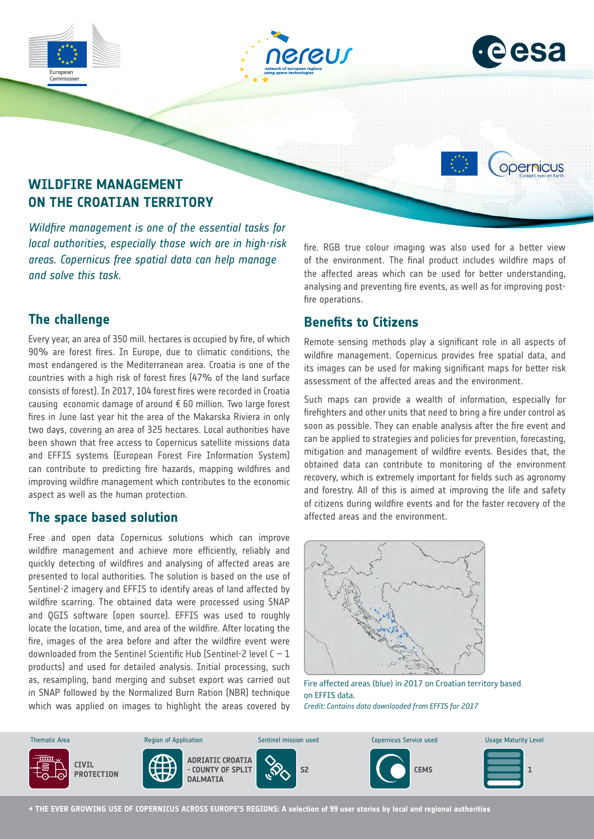



opernicus

# **WILDFIRE MANAGEMENT ON THE CROATIAN TERRITORY**

*Wildfire management is one of the essential tasks for local authorities, especially those wich are in high-risk areas. Copernicus free spatial data can help manage and solve this task.*

# **The challenge**

Commission

Every year, an area of 350 mill. hectares is occupied by fire, of which 90% are forest fires. In Europe, due to climatic conditions, the most endangered is the Mediterranean area. Croatia is one of the countries with a high risk of forest fires (47% of the land surface consists of forest). In 2017, 104 forest fires were recorded in Croatia causing economic damage of around € 60 million. Two large forest fires in June last year hit the area of the Makarska Riviera in only two days, covering an area of 325 hectares. Local authorities have been shown that free access to Copernicus satellite missions data and EFFIS systems (European Forest Fire Information System) can contribute to predicting fire hazards, mapping wildfires and improving wildfire management which contributes to the economic aspect as well as the human protection.

## **The space based solution**

Free and open data Copernicus solutions which can improve wildfire management and achieve more efficiently, reliably and quickly detecting of wildfires and analysing of affected areas are presented to local authorities. The solution is based on the use of Sentinel-2 imagery and EFFIS to identify areas of land affected by wildfire scarring. The obtained data were processed using SNAP and QGIS software (open source). EFFIS was used to roughly locate the location, time, and area of the wildfire. After locating the fire, images of the area before and after the wildfire event were downloaded from the Sentinel Scientific Hub (Sentinel-2 level  $C - 1$ products) and used for detailed analysis. Initial processing, such as, resampling, band merging and subset export was carried out in SNAP followed by the Normalized Burn Ration (NBR) technique which was applied on images to highlight the areas covered by fire. RGB true colour imaging was also used for a better view of the environment. The final product includes wildfire maps of the affected areas which can be used for better understanding, analysing and preventing fire events, as well as for improving postfire operations.

# **Benefits to Citizens**

Remote sensing methods play a significant role in all aspects of wildfire management. Copernicus provides free spatial data, and its images can be used for making significant maps for better risk assessment of the affected areas and the environment.

Such maps can provide a wealth of information, especially for firefighters and other units that need to bring a fire under control as soon as possible. They can enable analysis after the fire event and can be applied to strategies and policies for prevention, forecasting, mitigation and management of wildfire events. Besides that, the obtained data can contribute to monitoring of the environment recovery, which is extremely important for fields such as agronomy and forestry. All of this is aimed at improving the life and safety of citizens during wildfire events and for the faster recovery of the affected areas and the environment.



Fire affected areas (blue) in 2017 on Croatian territory based on EFFIS data.

*Credit: Contains data downloaded from EFFIS for 2017*



**→ THE EVER GROWING USE OF COPERNICUS ACROSS EUROPE'S REGIONS: A selection of 99 user stories by local and regional authorities**